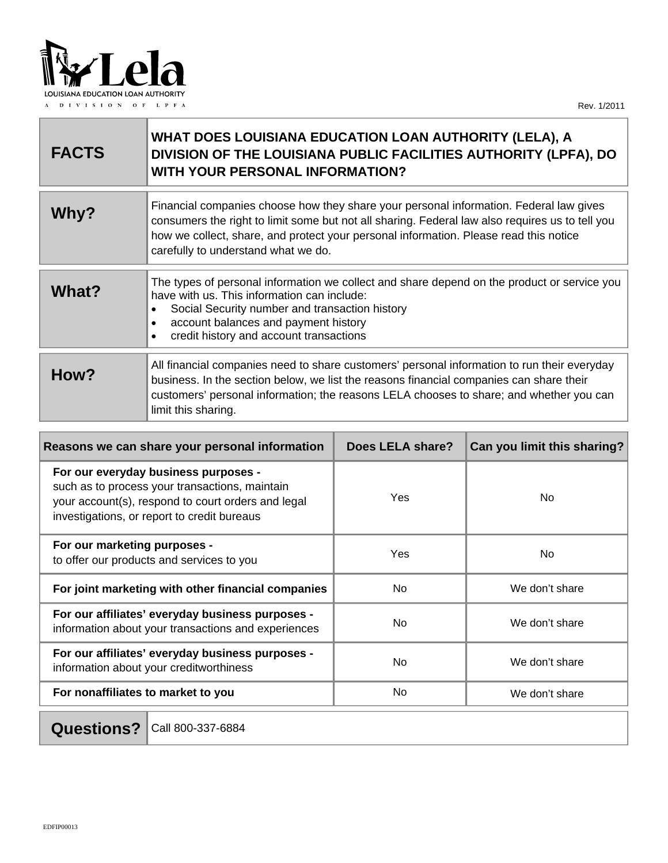

a s

| <b>FACTS</b> | WHAT DOES LOUISIANA EDUCATION LOAN AUTHORITY (LELA), A<br>DIVISION OF THE LOUISIANA PUBLIC FACILITIES AUTHORITY (LPFA), DO<br><b>WITH YOUR PERSONAL INFORMATION?</b>                                                                                                                                                      |
|--------------|---------------------------------------------------------------------------------------------------------------------------------------------------------------------------------------------------------------------------------------------------------------------------------------------------------------------------|
| Why?         | Financial companies choose how they share your personal information. Federal law gives<br>consumers the right to limit some but not all sharing. Federal law also requires us to tell you<br>how we collect, share, and protect your personal information. Please read this notice<br>carefully to understand what we do. |
| What?        | The types of personal information we collect and share depend on the product or service you<br>have with us. This information can include:<br>Social Security number and transaction history<br>$\bullet$<br>account balances and payment history<br>credit history and account transactions                              |
| How?         | All financial companies need to share customers' personal information to run their everyday<br>business. In the section below, we list the reasons financial companies can share their<br>customers' personal information; the reasons LELA chooses to share; and whether you can<br>limit this sharing.                  |

| Reasons we can share your personal information                                                                                                                                              | <b>Does LELA share?</b> | Can you limit this sharing? |
|---------------------------------------------------------------------------------------------------------------------------------------------------------------------------------------------|-------------------------|-----------------------------|
| For our everyday business purposes -<br>such as to process your transactions, maintain<br>your account(s), respond to court orders and legal<br>investigations, or report to credit bureaus | <b>Yes</b>              | No.                         |
| For our marketing purposes -<br>to offer our products and services to you                                                                                                                   | Yes                     | No.                         |
| For joint marketing with other financial companies                                                                                                                                          | N <sub>o</sub>          | We don't share              |
| For our affiliates' everyday business purposes -<br>information about your transactions and experiences                                                                                     | N <sub>o</sub>          | We don't share              |
| For our affiliates' everyday business purposes -<br>information about your creditworthiness                                                                                                 | N <sub>o</sub>          | We don't share              |
| For nonaffiliates to market to you                                                                                                                                                          | N <sub>o</sub>          | We don't share              |

**Questions?** Call 800-337-6884